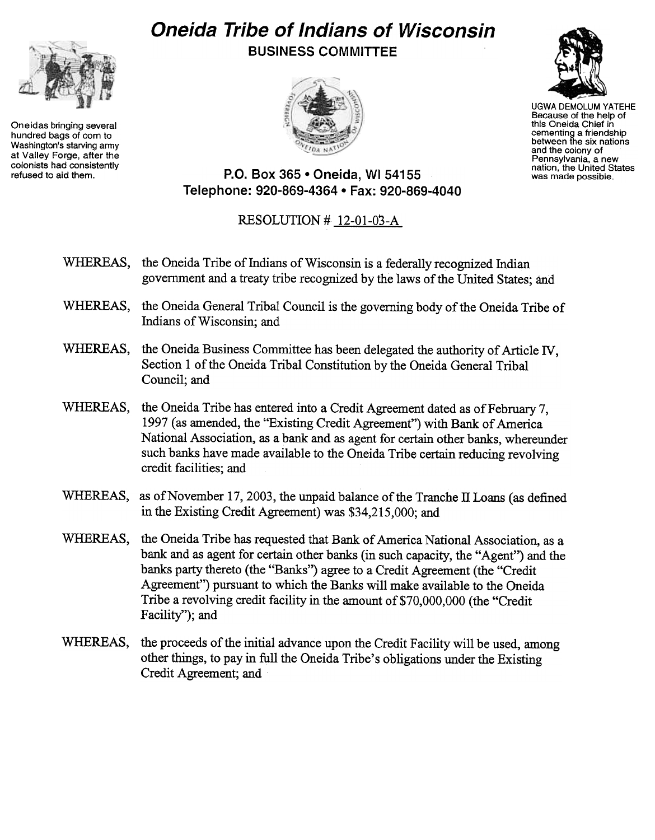## Oneida Tribe of Indians of Wisconsin BUSINESS COMMITTEE



UGWA DEMOLUM YATEHE Because of the help of this Oneida Chief in cementing a friendship between the six nations and the colony of Pennsylvania, a new nation, the United States was made possible.

refused to aid them. P.O. Box 365 . Oneida, WI 54155

## RESOLUTION  $#$  12-01-03-A

Telephone: 920-869-4364 · Fax: 920-869-4040

- WHEREAS, the Oneida Tribe of Indians of Wisconsin is a federally recognized Indian government and a treaty tribe recognized by the laws of the United States; and
- WHEREAS, the Oneida General Tribal Council is the governing body of the Oneida Tribe of Indians of Wisconsin; and
- WHEREAS, the Oneida Business Committee has been delegated the authority of Article IV Section 1 of the Oneida Tribal Constitution by the Oneida General Tribal Council; and
- the Oneida Tribe has entered into a Credit Agreement dated as of February 7, WHEREAS. 1997 (as amended, the "Existing Credit Agreement") with Bank of America National Association, as a bank and as agent for certain other banks, whereunder such banks have made available to the Oneida Tribe certain reducing revolving credit facilities; and
- WHEREAS. as of November 17, 2003, the unpaid balance of the Tranche II Loans (as defined in the Existing Credit Agreement) was \$34,215,000; and
- WHEREAS. the Oneida Tribe has requested that Bank of America National Association, as a bank and as agent for certain other banks (in such capacity, the "Agent") and the banks party thereto (the "Banks") agree to a Credit Agreement (the "Credit Agreement") pursuant to which the Banks will make available to the Oneida Tribe a revolving credit facility in the amount of \$70,000,000 (the "Credit Facility"); and
- WHEREAS, the proceeds of the initial advance upon the Credit Facility will be used, among other things, to pay in full the Oneida Tribe's obligations under the Existing Credit Agreement; and



Oneidas bringing several hundred bags of corn to Washington's starving army at Valley Forge, after the colonists had consistently

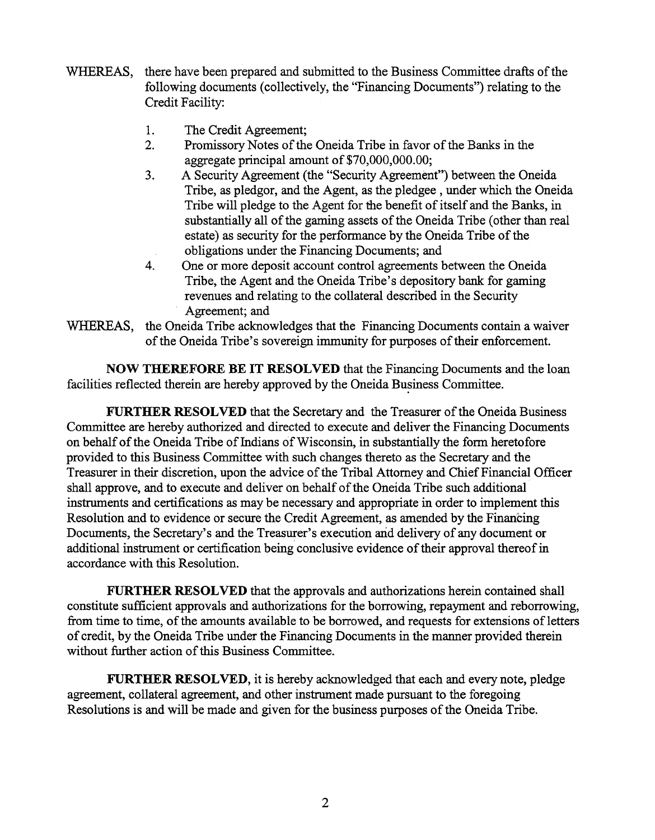- WHEREAS, there have been prepared and submitted to the Business Committee drafts of the following documents (collectively, the "Financing Documents") relating to the Credit Facility:
	- 1. The Credit Agreement;
	- $2.$ Promissory Notes of the Oneida Tribe in favor of the Banks in the aggregate principal amount of \$70,000,000.00;
	- 3. A Security Agreement (the "Security Agreement") between the Oneida Tribe, as pledgor, and the Agent, as the pledgee, under which the Oneida Tribe will pledge to the Agent for the benefit of itself and the Banks, in substantially all of the gaming assets of the Oneida Tribe (other than real estate) as security for the performance by the Oneida Tribe of the obligations under the Financing Documents; and4.
	- $\overline{4}$ . One or more deposit account control agreements between the Oneida Tribe, the Agent and the Oneida Tribe's depository bank for gaming revenues and relating to the collateral described in the Security Agreement; and
- WHEREAS, the Oneida Tribe acknowledges that the Financing Documents contain a waiver of the Oneida Tribe's sovereign immunity for purposes of their enforcement.

NOW THEREFORE BE IT RESOLVED that the Financing Documents and the loan facilities reflected therein are hereby approved by the Oneida Business Committee.

FURTHER RESOLVED that the Secretary and the Treasurer of the Oneida Business Committee are hereby authorized and directed to execute and deliver the Financing Documents on behalf of the Oneida Tribe of Indians of Wisconsin, in substantially the fonn heretofore provided to this Business Committee with such changes thereto as the Secretary and the Treasurer in their discretion, upon the advice of the Tribal Attorney and Chief Financial Officer shall approve, and to execute and deliver on behalf of the Oneida Tribe such additional instruments and certifications as may be necessary and appropriate in order to implement this Resolution and to evidence or secure the Credit Agreement, as amended by the Financing Documents, the Secretary's and the Treasurer's execution arid delivery of any document or additional instrument or certification being conclusive evidence of their approval thereof in accordance with this Resolution.

FURTHER RESOLVED that the approvals and authorizations herein contained shall constitute sufficient approvals and authorizations for the borrowing, repayment and reborrowing, from time to time, of the amounts available to be borrowed, and requests for extensions of letters of credit, by the Oneida Tribe under the Financing Documents in the manner provided therein without further action of this Business Committee.

FURTHER RESOLVED, it is hereby acknowledged that each and every note, pledge agreement, collateral agreement, and other instrument made pursuant to the foregoing Resolutions is and will be made and given for the business purposes of the Oneida Tribe.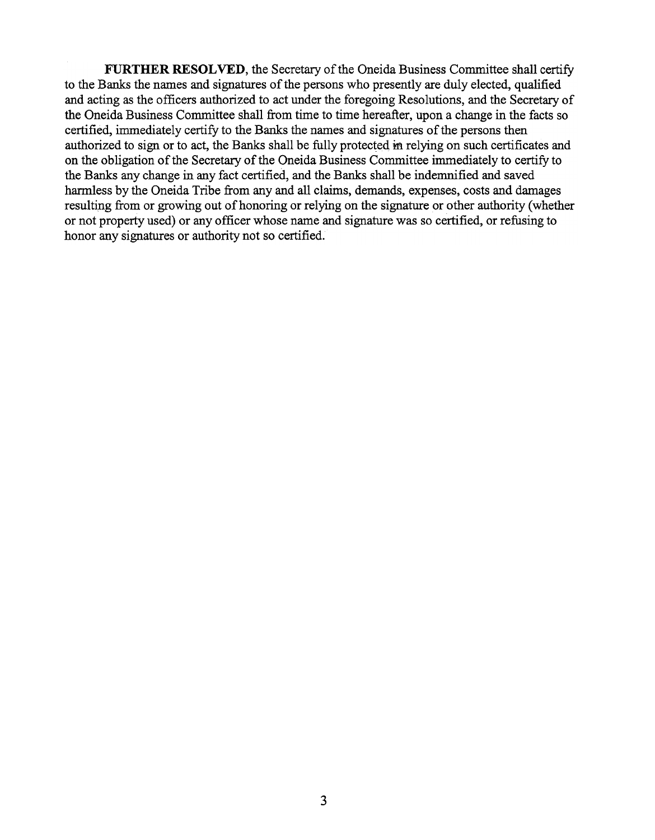FURTHER RESOLVED, the Secretary of the Oneida Business Committee shall certify to the Banks the names and signatures of the persons who presently are duly elected, qualified and acting as the officers authorized to act under the foregoing Resolutions, and the Secretary of the Oneida Business Committee shall from time to time hereafter, upon a change in the facts so certified, immediately certify to the Banks the names and signatures of the persons then authorized to sign or to act, the Banks shall be fully protected in relying on such certificates and on the obligation of the Secretary of the Oneida Business Committee immediately to certify to the Banks any change in any fact certified, and the Banks shall be indemnified and saved harmless by the Oneida Tribe from any and all claims, demands, expenses, costs and damages resultipg from or growing out of honoring or relying on the signature or other authority (whether or not property used) or any officer whose name and signature was so certified, or refusing to honor any signatures or authority not so certified.